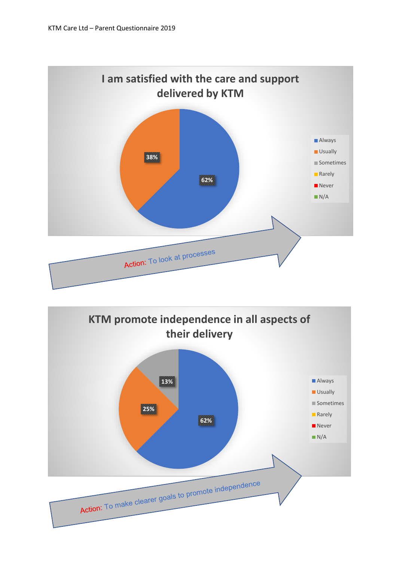

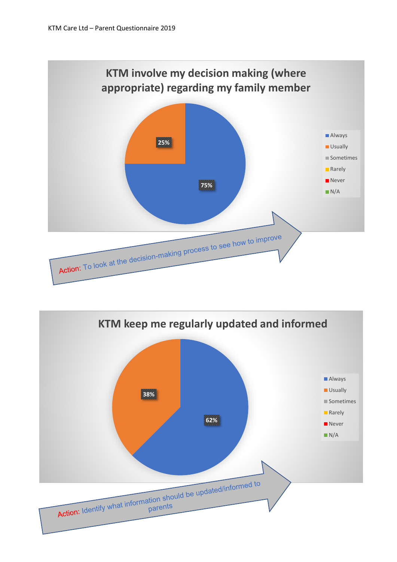

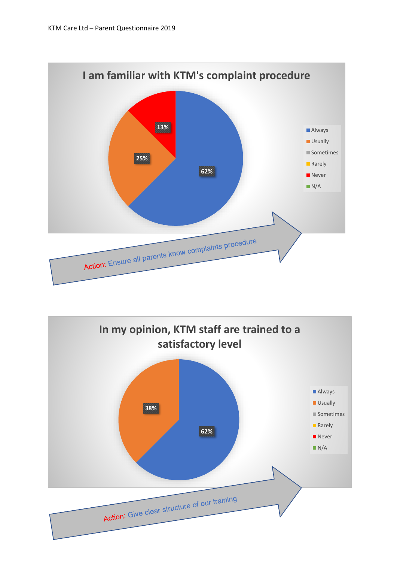

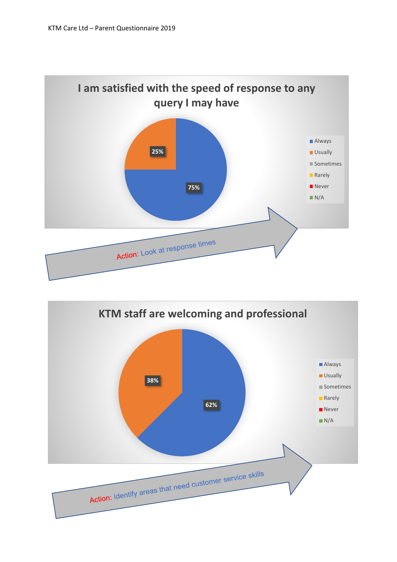